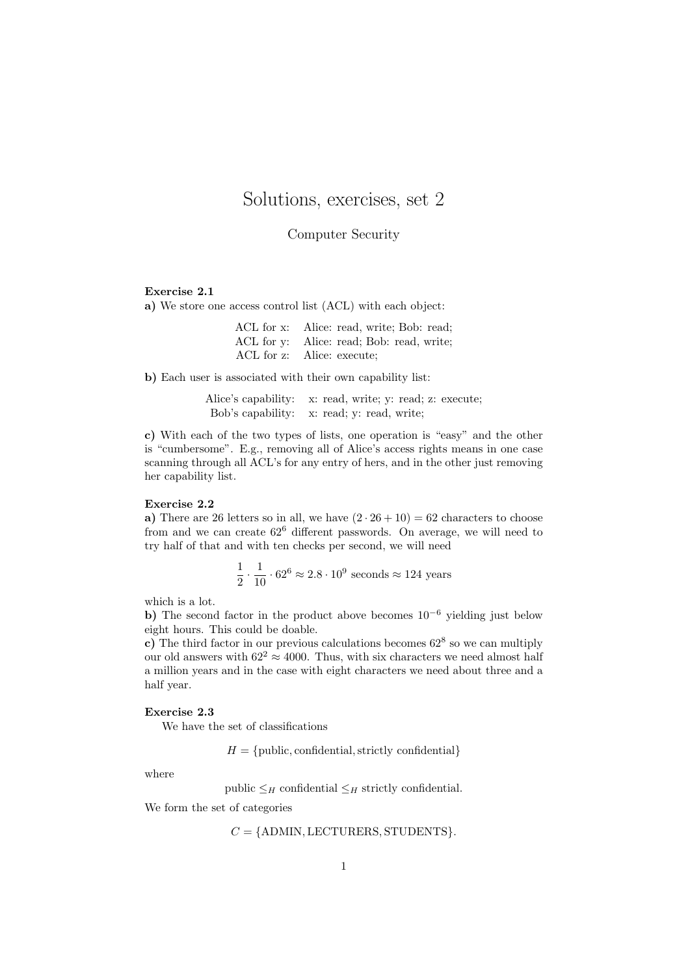# Solutions, exercises, set 2

Computer Security

### Exercise 2.1

a) We store one access control list (ACL) with each object:

| ACL for x: Alice: read, write; Bob: read; |
|-------------------------------------------|
| ACL for y: Alice: read; Bob: read, write; |
| ACL for z: Alice: execute;                |

b) Each user is associated with their own capability list:

Alice's capability: x: read, write; y: read; z: execute; Bob's capability: x: read; y: read, write;

c) With each of the two types of lists, one operation is "easy" and the other is "cumbersome". E.g., removing all of Alice's access rights means in one case scanning through all ACL's for any entry of hers, and in the other just removing her capability list.

## Exercise 2.2

a) There are 26 letters so in all, we have  $(2 \cdot 26 + 10) = 62$  characters to choose from and we can create 62<sup>6</sup> different passwords. On average, we will need to try half of that and with ten checks per second, we will need

$$
\frac{1}{2} \cdot \frac{1}{10} \cdot 62^6 \approx 2.8 \cdot 10^9
$$
 seconds  $\approx 124$  years

which is a lot.

b) The second factor in the product above becomes  $10^{-6}$  yielding just below eight hours. This could be doable.

c) The third factor in our previous calculations becomes  $62^8$  so we can multiply our old answers with  $62^2 \approx 4000$ . Thus, with six characters we need almost half a million years and in the case with eight characters we need about three and a half year.

### Exercise 2.3

We have the set of classifications

 $H = \{\text{public}, \text{confidential}, \text{strictly confidential}\}\$ 

where

public  $\leq_H$  confidential  $\leq_H$  strictly confidential.

We form the set of categories

```
C = \{\text{ADMIN}, \text{LECTURES}, \text{STUDENTS}\}.
```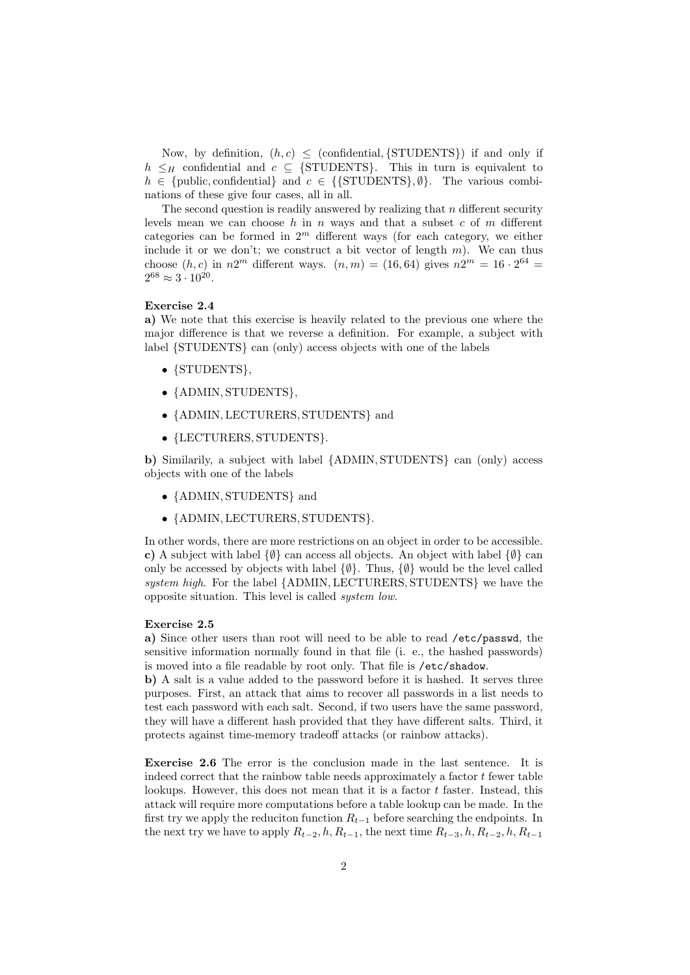Now, by definition,  $(h, c) \leq$  (confidential, {STUDENTS}) if and only if  $h \leq_H$  confidential and  $c \subseteq$  {STUDENTS}. This in turn is equivalent to  $h \in \{\text{public}, \text{confidential}\}\$ and  $c \in \{\{\text{STUDENTS}\}, \emptyset\}.$  The various combinations of these give four cases, all in all.

The second question is readily answered by realizing that  $n$  different security levels mean we can choose h in n ways and that a subset c of m different categories can be formed in  $2<sup>m</sup>$  different ways (for each category, we either include it or we don't; we construct a bit vector of length  $m$ ). We can thus choose  $(h, c)$  in  $n2^m$  different ways.  $(n, m) = (16, 64)$  gives  $n2^m = 16 \cdot 2^{64} =$  $2^{68} \approx 3 \cdot 10^{20}$ .

#### Exercise 2.4

a) We note that this exercise is heavily related to the previous one where the major difference is that we reverse a definition. For example, a subject with label {STUDENTS} can (only) access objects with one of the labels

- {STUDENTS},
- {ADMIN, STUDENTS},
- {ADMIN, LECTURERS, STUDENTS} and
- {LECTURERS, STUDENTS}.

b) Similarily, a subject with label {ADMIN, STUDENTS} can (only) access objects with one of the labels

- {ADMIN, STUDENTS} and
- {ADMIN, LECTURERS, STUDENTS}.

In other words, there are more restrictions on an object in order to be accessible. c) A subject with label  $\{\emptyset\}$  can access all objects. An object with label  $\{\emptyset\}$  can only be accessed by objects with label  $\{\emptyset\}$ . Thus,  $\{\emptyset\}$  would be the level called system high. For the label {ADMIN, LECTURERS, STUDENTS} we have the opposite situation. This level is called system low.

#### Exercise 2.5

a) Since other users than root will need to be able to read /etc/passwd, the sensitive information normally found in that file (i. e., the hashed passwords) is moved into a file readable by root only. That file is /etc/shadow.

b) A salt is a value added to the password before it is hashed. It serves three purposes. First, an attack that aims to recover all passwords in a list needs to test each password with each salt. Second, if two users have the same password, they will have a different hash provided that they have different salts. Third, it protects against time-memory tradeoff attacks (or rainbow attacks).

Exercise 2.6 The error is the conclusion made in the last sentence. It is indeed correct that the rainbow table needs approximately a factor  $t$  fewer table lookups. However, this does not mean that it is a factor  $t$  faster. Instead, this attack will require more computations before a table lookup can be made. In the first try we apply the reduciton function  $R_{t-1}$  before searching the endpoints. In the next try we have to apply  $R_{t-2}$ , h,  $R_{t-1}$ , the next time  $R_{t-3}$ , h,  $R_{t-2}$ , h,  $R_{t-1}$